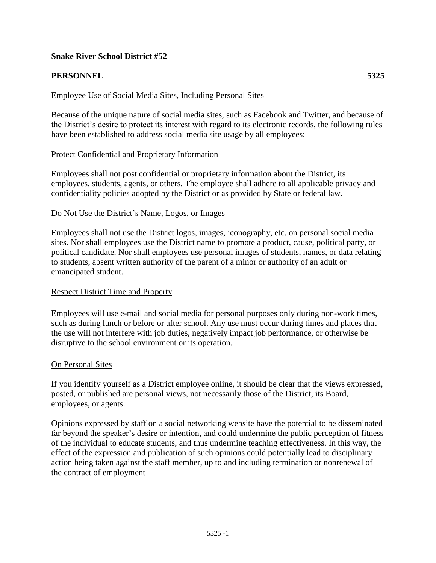# **Snake River School District #52**

# **PERSONNEL 5325**

## Employee Use of Social Media Sites, Including Personal Sites

Because of the unique nature of social media sites, such as Facebook and Twitter, and because of the District's desire to protect its interest with regard to its electronic records, the following rules have been established to address social media site usage by all employees:

#### Protect Confidential and Proprietary Information

Employees shall not post confidential or proprietary information about the District, its employees, students, agents, or others. The employee shall adhere to all applicable privacy and confidentiality policies adopted by the District or as provided by State or federal law.

#### Do Not Use the District's Name, Logos, or Images

Employees shall not use the District logos, images, iconography, etc. on personal social media sites. Nor shall employees use the District name to promote a product, cause, political party, or political candidate. Nor shall employees use personal images of students, names, or data relating to students, absent written authority of the parent of a minor or authority of an adult or emancipated student.

## Respect District Time and Property

Employees will use e-mail and social media for personal purposes only during non-work times, such as during lunch or before or after school. Any use must occur during times and places that the use will not interfere with job duties, negatively impact job performance, or otherwise be disruptive to the school environment or its operation.

#### On Personal Sites

If you identify yourself as a District employee online, it should be clear that the views expressed, posted, or published are personal views, not necessarily those of the District, its Board, employees, or agents.

Opinions expressed by staff on a social networking website have the potential to be disseminated far beyond the speaker's desire or intention, and could undermine the public perception of fitness of the individual to educate students, and thus undermine teaching effectiveness. In this way, the effect of the expression and publication of such opinions could potentially lead to disciplinary action being taken against the staff member, up to and including termination or nonrenewal of the contract of employment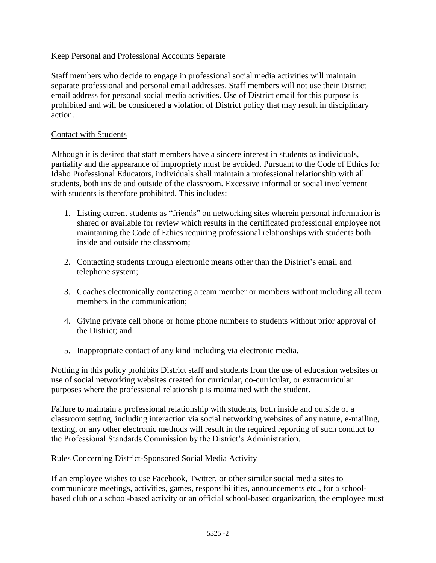# Keep Personal and Professional Accounts Separate

Staff members who decide to engage in professional social media activities will maintain separate professional and personal email addresses. Staff members will not use their District email address for personal social media activities. Use of District email for this purpose is prohibited and will be considered a violation of District policy that may result in disciplinary action.

## Contact with Students

Although it is desired that staff members have a sincere interest in students as individuals, partiality and the appearance of impropriety must be avoided. Pursuant to the Code of Ethics for Idaho Professional Educators, individuals shall maintain a professional relationship with all students, both inside and outside of the classroom. Excessive informal or social involvement with students is therefore prohibited. This includes:

- 1. Listing current students as "friends" on networking sites wherein personal information is shared or available for review which results in the certificated professional employee not maintaining the Code of Ethics requiring professional relationships with students both inside and outside the classroom;
- 2. Contacting students through electronic means other than the District's email and telephone system;
- 3. Coaches electronically contacting a team member or members without including all team members in the communication;
- 4. Giving private cell phone or home phone numbers to students without prior approval of the District; and
- 5. Inappropriate contact of any kind including via electronic media.

Nothing in this policy prohibits District staff and students from the use of education websites or use of social networking websites created for curricular, co-curricular, or extracurricular purposes where the professional relationship is maintained with the student.

Failure to maintain a professional relationship with students, both inside and outside of a classroom setting, including interaction via social networking websites of any nature, e-mailing, texting, or any other electronic methods will result in the required reporting of such conduct to the Professional Standards Commission by the District's Administration.

## Rules Concerning District-Sponsored Social Media Activity

If an employee wishes to use Facebook, Twitter, or other similar social media sites to communicate meetings, activities, games, responsibilities, announcements etc., for a schoolbased club or a school-based activity or an official school-based organization, the employee must